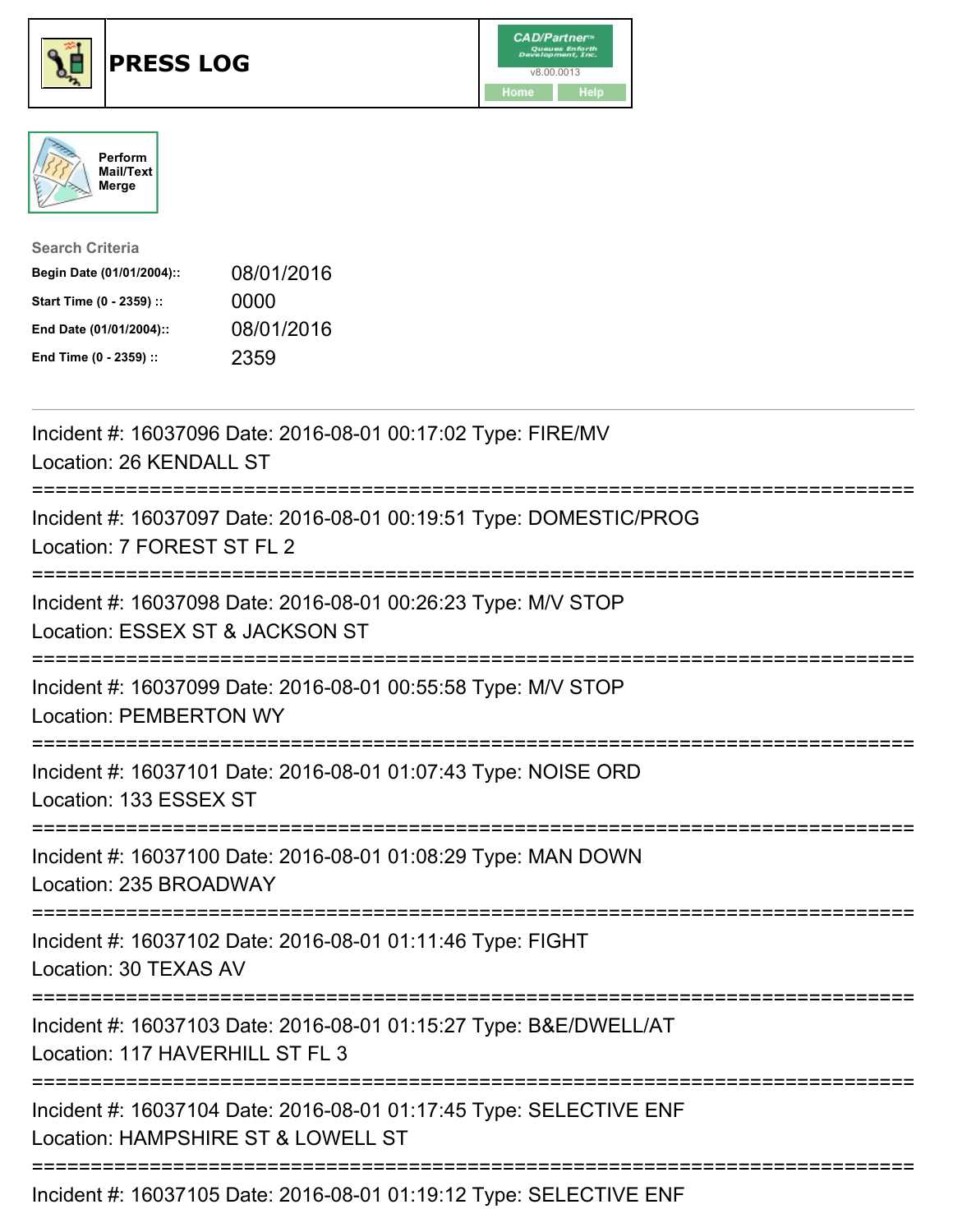





| <b>Search Criteria</b>    |            |
|---------------------------|------------|
| Begin Date (01/01/2004):: | 08/01/2016 |
| Start Time (0 - 2359) ::  | 0000       |
| End Date (01/01/2004)::   | 08/01/2016 |
| End Time (0 - 2359) ::    | 2359       |

| Incident #: 16037096 Date: 2016-08-01 00:17:02 Type: FIRE/MV<br>Location: 26 KENDALL ST                                                                                 |
|-------------------------------------------------------------------------------------------------------------------------------------------------------------------------|
| Incident #: 16037097 Date: 2016-08-01 00:19:51 Type: DOMESTIC/PROG<br>Location: 7 FOREST ST FL 2                                                                        |
| Incident #: 16037098 Date: 2016-08-01 00:26:23 Type: M/V STOP<br>Location: ESSEX ST & JACKSON ST                                                                        |
| Incident #: 16037099 Date: 2016-08-01 00:55:58 Type: M/V STOP<br><b>Location: PEMBERTON WY</b>                                                                          |
| Incident #: 16037101 Date: 2016-08-01 01:07:43 Type: NOISE ORD<br>Location: 133 ESSEX ST                                                                                |
| Incident #: 16037100 Date: 2016-08-01 01:08:29 Type: MAN DOWN<br>Location: 235 BROADWAY                                                                                 |
| Incident #: 16037102 Date: 2016-08-01 01:11:46 Type: FIGHT<br>Location: 30 TEXAS AV                                                                                     |
| Incident #: 16037103 Date: 2016-08-01 01:15:27 Type: B&E/DWELL/AT<br>Location: 117 HAVERHILL ST FL 3<br>:========================<br>---------------------------------- |
| Incident #: 16037104 Date: 2016-08-01 01:17:45 Type: SELECTIVE ENF<br>Location: HAMPSHIRE ST & LOWELL ST                                                                |
| Incident #: 16037105 Date: 2016-08-01 01:19:12 Type: SELECTIVE ENF                                                                                                      |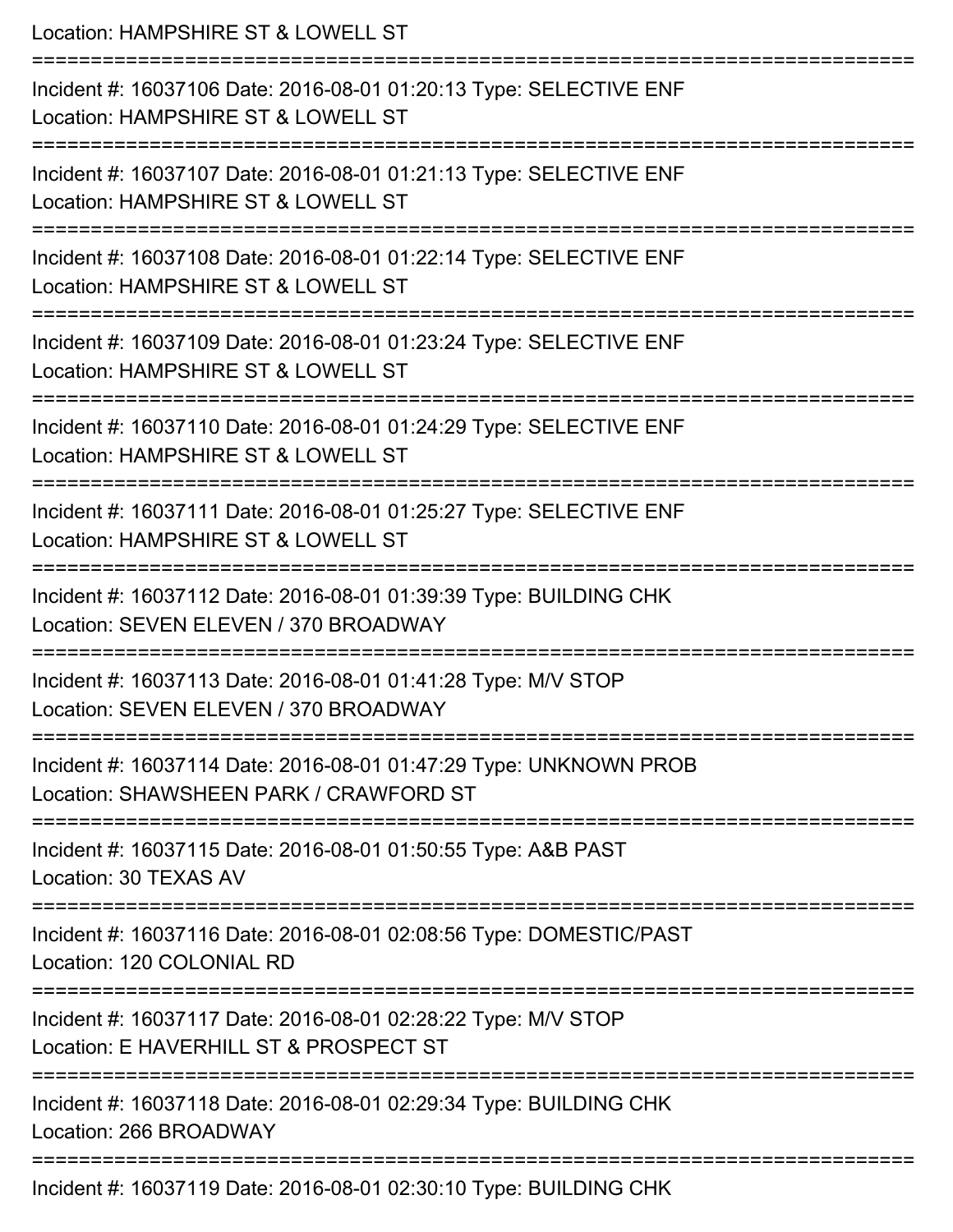Location: HAMPSHIRE ST & LOWELL ST =========================================================================== Incident #: 16037106 Date: 2016-08-01 01:20:13 Type: SELECTIVE ENF Location: HAMPSHIRE ST & LOWELL ST =========================================================================== Incident #: 16037107 Date: 2016-08-01 01:21:13 Type: SELECTIVE ENF Location: HAMPSHIRE ST & LOWELL ST =========================================================================== Incident #: 16037108 Date: 2016-08-01 01:22:14 Type: SELECTIVE ENF Location: HAMPSHIRE ST & LOWELL ST =========================================================================== Incident #: 16037109 Date: 2016-08-01 01:23:24 Type: SELECTIVE ENF Location: HAMPSHIRE ST & LOWELL ST =========================================================================== Incident #: 16037110 Date: 2016-08-01 01:24:29 Type: SELECTIVE ENF Location: HAMPSHIRE ST & LOWELL ST =========================================================================== Incident #: 16037111 Date: 2016-08-01 01:25:27 Type: SELECTIVE ENF Location: HAMPSHIRE ST & LOWELL ST =========================================================================== Incident #: 16037112 Date: 2016-08-01 01:39:39 Type: BUILDING CHK Location: SEVEN ELEVEN / 370 BROADWAY =========================================================================== Incident #: 16037113 Date: 2016-08-01 01:41:28 Type: M/V STOP Location: SEVEN ELEVEN / 370 BROADWAY =========================================================================== Incident #: 16037114 Date: 2016-08-01 01:47:29 Type: UNKNOWN PROB Location: SHAWSHEEN PARK / CRAWFORD ST =========================================================================== Incident #: 16037115 Date: 2016-08-01 01:50:55 Type: A&B PAST Location: 30 TEXAS AV =========================================================================== Incident #: 16037116 Date: 2016-08-01 02:08:56 Type: DOMESTIC/PAST Location: 120 COLONIAL RD =========================================================================== Incident #: 16037117 Date: 2016-08-01 02:28:22 Type: M/V STOP Location: E HAVERHILL ST & PROSPECT ST =========================================================================== Incident #: 16037118 Date: 2016-08-01 02:29:34 Type: BUILDING CHK Location: 266 BROADWAY =========================================================================== Incident #: 16037119 Date: 2016-08-01 02:30:10 Type: BUILDING CHK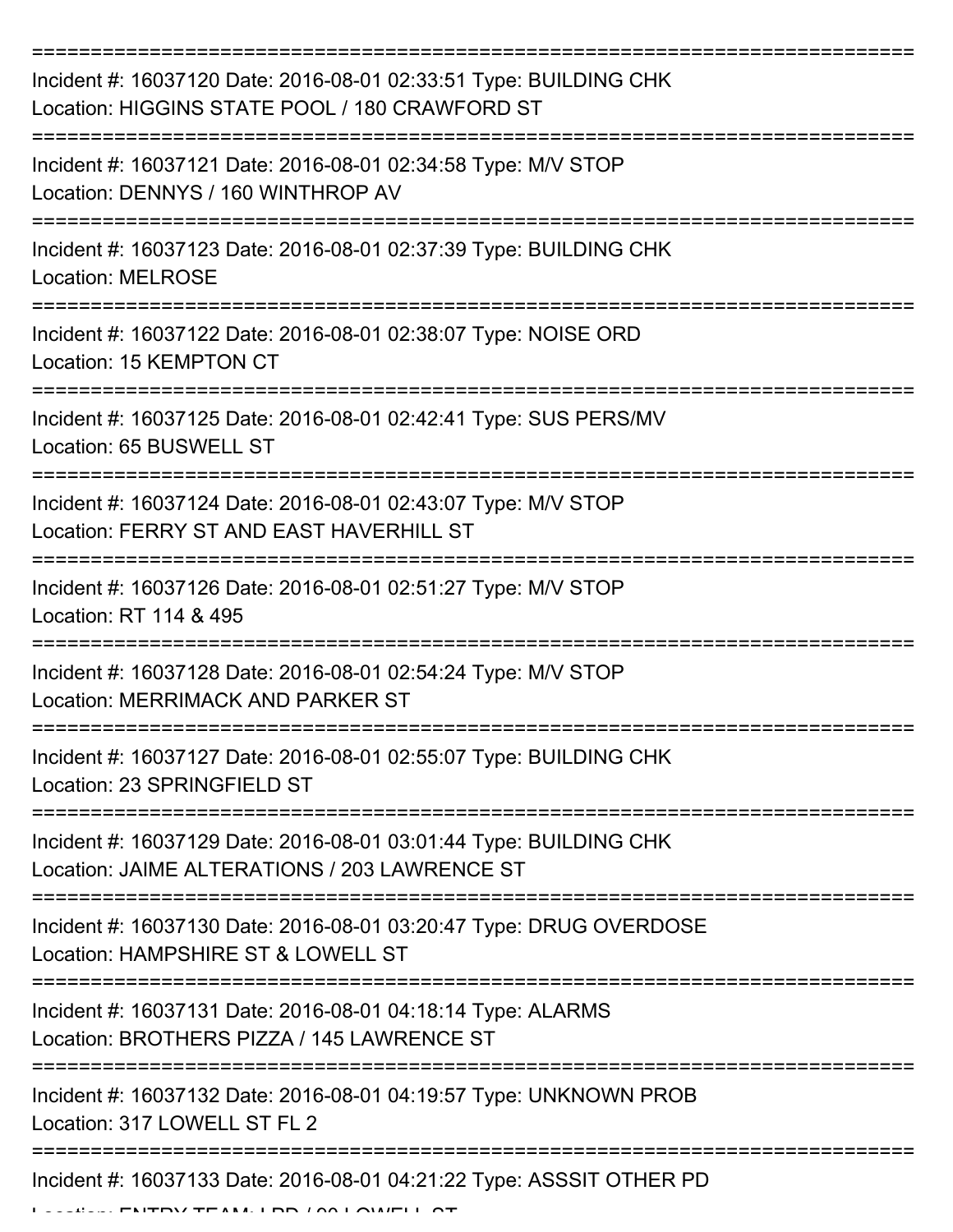| Incident #: 16037120 Date: 2016-08-01 02:33:51 Type: BUILDING CHK<br>Location: HIGGINS STATE POOL / 180 CRAWFORD ST                        |
|--------------------------------------------------------------------------------------------------------------------------------------------|
| Incident #: 16037121 Date: 2016-08-01 02:34:58 Type: M/V STOP<br>Location: DENNYS / 160 WINTHROP AV                                        |
| Incident #: 16037123 Date: 2016-08-01 02:37:39 Type: BUILDING CHK<br><b>Location: MELROSE</b>                                              |
| Incident #: 16037122 Date: 2016-08-01 02:38:07 Type: NOISE ORD<br>Location: 15 KEMPTON CT                                                  |
| Incident #: 16037125 Date: 2016-08-01 02:42:41 Type: SUS PERS/MV<br>Location: 65 BUSWELL ST                                                |
| Incident #: 16037124 Date: 2016-08-01 02:43:07 Type: M/V STOP<br>Location: FERRY ST AND EAST HAVERHILL ST                                  |
| Incident #: 16037126 Date: 2016-08-01 02:51:27 Type: M/V STOP<br>Location: RT 114 & 495                                                    |
| Incident #: 16037128 Date: 2016-08-01 02:54:24 Type: M/V STOP<br>Location: MERRIMACK AND PARKER ST                                         |
| Incident #: 16037127 Date: 2016-08-01 02:55:07 Type: BUILDING CHK<br>Location: 23 SPRINGFIELD ST<br>----------                             |
| Incident #: 16037129 Date: 2016-08-01 03:01:44 Type: BUILDING CHK<br>Location: JAIME ALTERATIONS / 203 LAWRENCE ST                         |
| Incident #: 16037130 Date: 2016-08-01 03:20:47 Type: DRUG OVERDOSE<br>Location: HAMPSHIRE ST & LOWELL ST                                   |
| Incident #: 16037131 Date: 2016-08-01 04:18:14 Type: ALARMS<br>Location: BROTHERS PIZZA / 145 LAWRENCE ST                                  |
| Incident #: 16037132 Date: 2016-08-01 04:19:57 Type: UNKNOWN PROB<br>Location: 317 LOWELL ST FL 2                                          |
| Incident #: 16037133 Date: 2016-08-01 04:21:22 Type: ASSSIT OTHER PD<br>$M$ TE $M$ , $1 \overline{D}D$ , $1 \overline{O}$ $1 \overline{O}$ |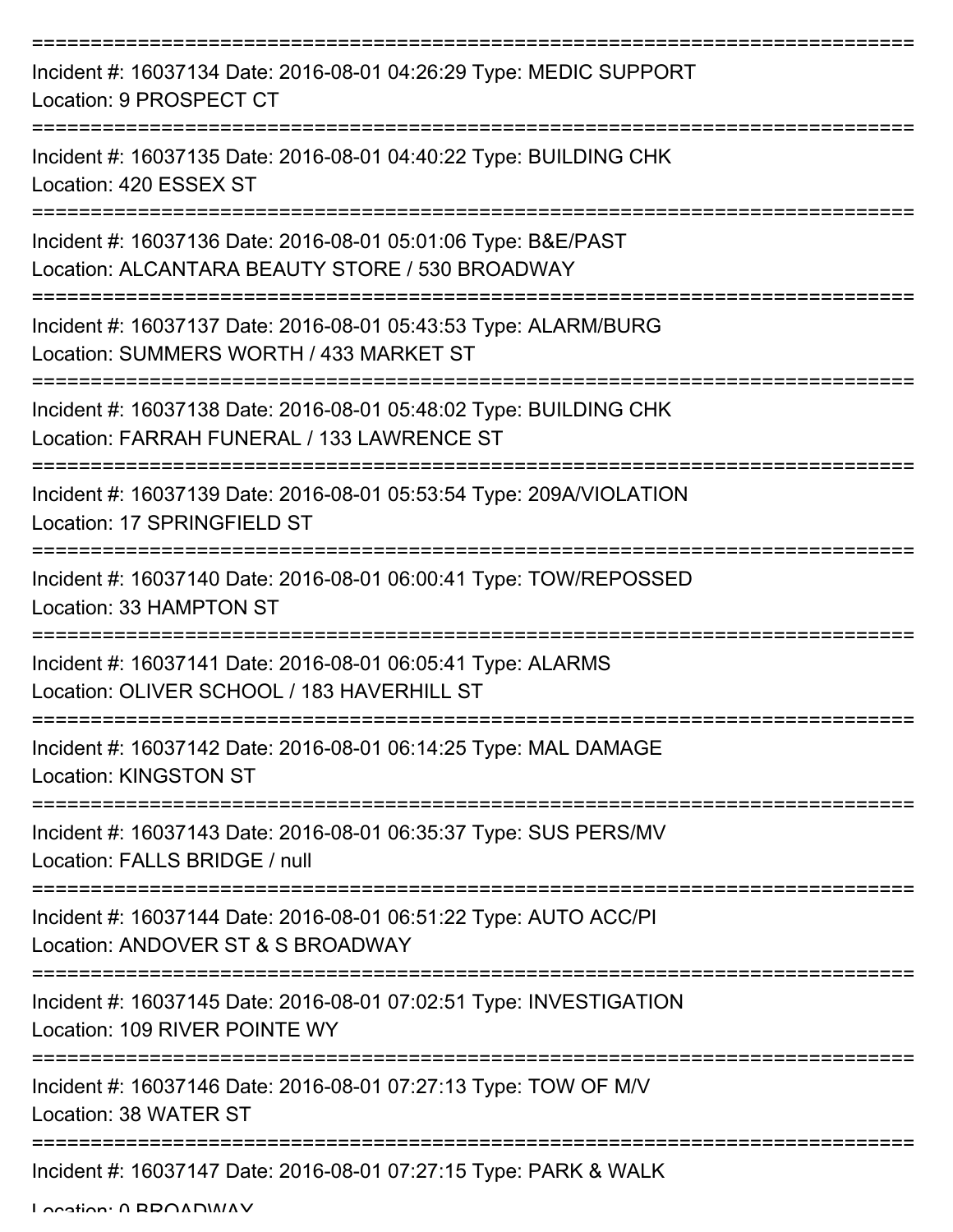| Incident #: 16037134 Date: 2016-08-01 04:26:29 Type: MEDIC SUPPORT<br>Location: 9 PROSPECT CT                    |
|------------------------------------------------------------------------------------------------------------------|
| Incident #: 16037135 Date: 2016-08-01 04:40:22 Type: BUILDING CHK<br>Location: 420 ESSEX ST                      |
| Incident #: 16037136 Date: 2016-08-01 05:01:06 Type: B&E/PAST<br>Location: ALCANTARA BEAUTY STORE / 530 BROADWAY |
| Incident #: 16037137 Date: 2016-08-01 05:43:53 Type: ALARM/BURG<br>Location: SUMMERS WORTH / 433 MARKET ST       |
| Incident #: 16037138 Date: 2016-08-01 05:48:02 Type: BUILDING CHK<br>Location: FARRAH FUNERAL / 133 LAWRENCE ST  |
| Incident #: 16037139 Date: 2016-08-01 05:53:54 Type: 209A/VIOLATION<br>Location: 17 SPRINGFIELD ST               |
| Incident #: 16037140 Date: 2016-08-01 06:00:41 Type: TOW/REPOSSED<br>Location: 33 HAMPTON ST                     |
| Incident #: 16037141 Date: 2016-08-01 06:05:41 Type: ALARMS<br>Location: OLIVER SCHOOL / 183 HAVERHILL ST        |
| Incident #: 16037142 Date: 2016-08-01 06:14:25 Type: MAL DAMAGE<br><b>Location: KINGSTON ST</b>                  |
| Incident #: 16037143 Date: 2016-08-01 06:35:37 Type: SUS PERS/MV<br>Location: FALLS BRIDGE / null                |
| Incident #: 16037144 Date: 2016-08-01 06:51:22 Type: AUTO ACC/PI<br>Location: ANDOVER ST & S BROADWAY            |
| Incident #: 16037145 Date: 2016-08-01 07:02:51 Type: INVESTIGATION<br>Location: 109 RIVER POINTE WY              |
| Incident #: 16037146 Date: 2016-08-01 07:27:13 Type: TOW OF M/V<br>Location: 38 WATER ST                         |
| Incident #: 16037147 Date: 2016-08-01 07:27:15 Type: PARK & WALK                                                 |

Location: 0 BROADWAY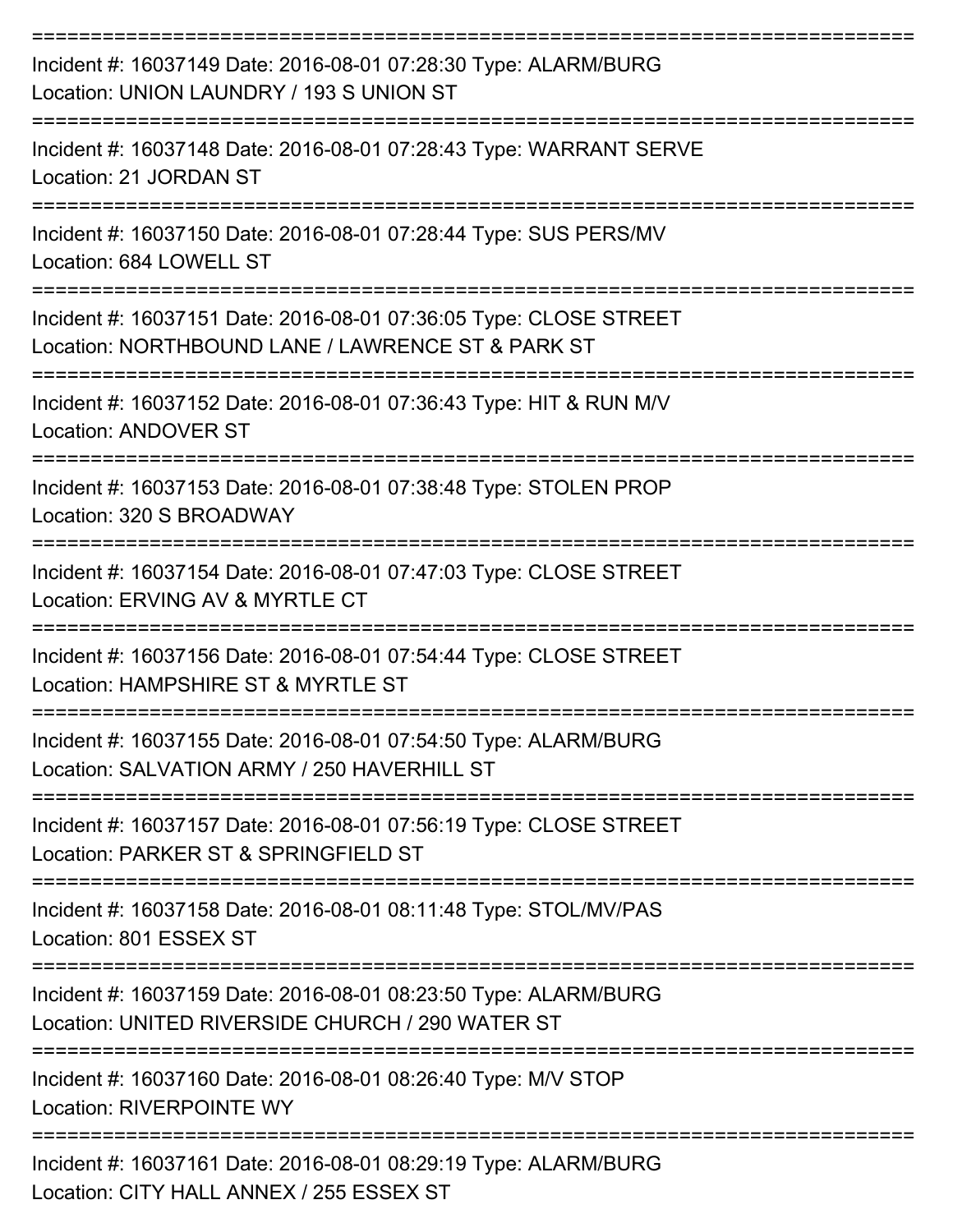| Incident #: 16037149 Date: 2016-08-01 07:28:30 Type: ALARM/BURG<br>Location: UNION LAUNDRY / 193 S UNION ST                                           |
|-------------------------------------------------------------------------------------------------------------------------------------------------------|
| Incident #: 16037148 Date: 2016-08-01 07:28:43 Type: WARRANT SERVE<br>Location: 21 JORDAN ST                                                          |
| Incident #: 16037150 Date: 2016-08-01 07:28:44 Type: SUS PERS/MV<br>Location: 684 LOWELL ST                                                           |
| Incident #: 16037151 Date: 2016-08-01 07:36:05 Type: CLOSE STREET<br>Location: NORTHBOUND LANE / LAWRENCE ST & PARK ST                                |
| Incident #: 16037152 Date: 2016-08-01 07:36:43 Type: HIT & RUN M/V<br><b>Location: ANDOVER ST</b>                                                     |
| Incident #: 16037153 Date: 2016-08-01 07:38:48 Type: STOLEN PROP<br>Location: 320 S BROADWAY                                                          |
| Incident #: 16037154 Date: 2016-08-01 07:47:03 Type: CLOSE STREET<br>Location: ERVING AV & MYRTLE CT                                                  |
| Incident #: 16037156 Date: 2016-08-01 07:54:44 Type: CLOSE STREET<br>Location: HAMPSHIRE ST & MYRTLE ST                                               |
| Incident #: 16037155 Date: 2016-08-01 07:54:50 Type: ALARM/BURG<br>Location: SALVATION ARMY / 250 HAVERHILL ST                                        |
| Incident #: 16037157 Date: 2016-08-01 07:56:19 Type: CLOSE STREET<br>Location: PARKER ST & SPRINGFIELD ST                                             |
| Incident #: 16037158 Date: 2016-08-01 08:11:48 Type: STOL/MV/PAS<br>Location: 801 ESSEX ST                                                            |
| ==============================<br>Incident #: 16037159 Date: 2016-08-01 08:23:50 Type: ALARM/BURG<br>Location: UNITED RIVERSIDE CHURCH / 290 WATER ST |
| Incident #: 16037160 Date: 2016-08-01 08:26:40 Type: M/V STOP<br><b>Location: RIVERPOINTE WY</b>                                                      |
| Incident #: 16037161 Date: 2016-08-01 08:29:19 Type: ALARM/BURG<br>Location: CITY HALL ANNEX / 255 ESSEX ST                                           |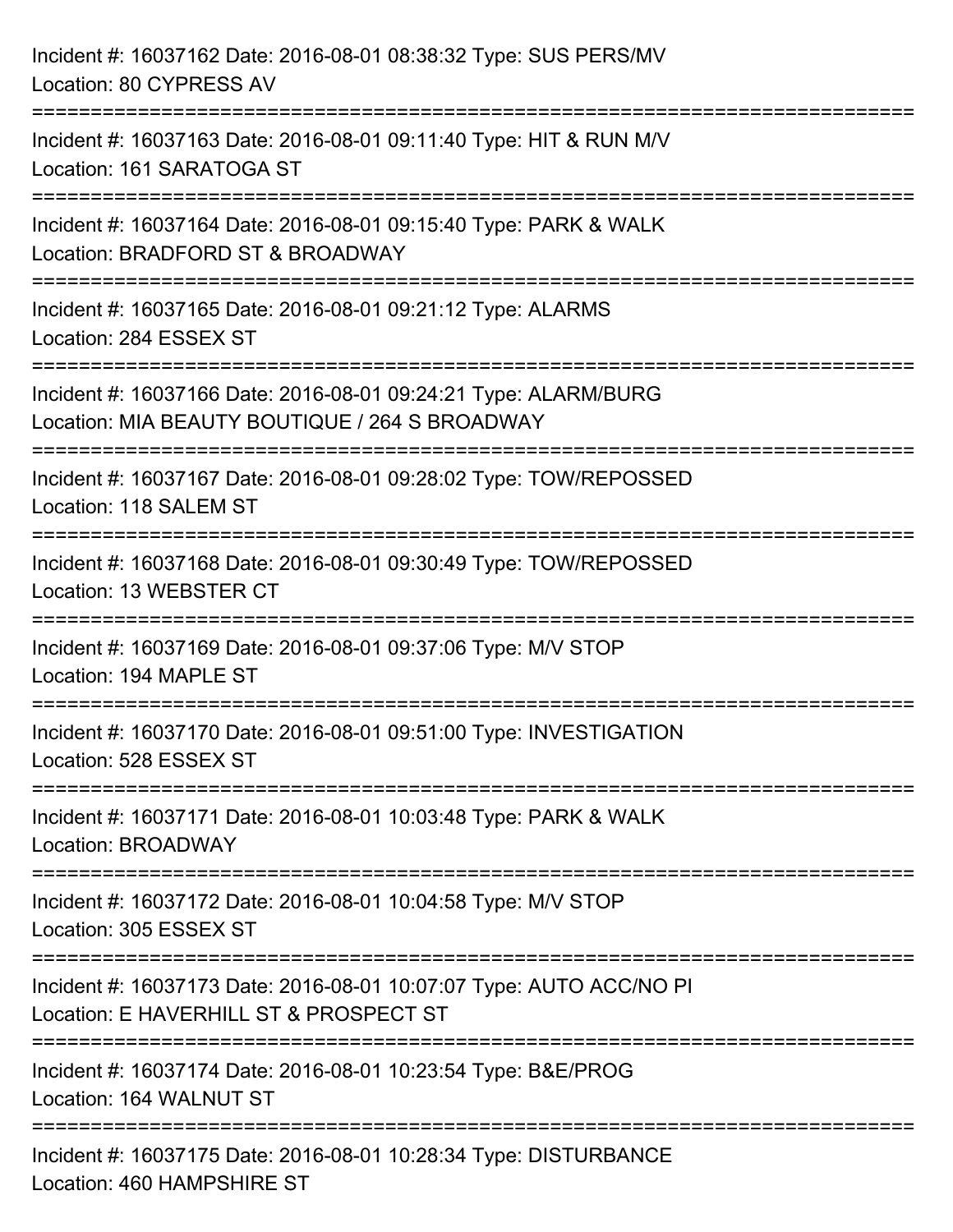| Incident #: 16037162 Date: 2016-08-01 08:38:32 Type: SUS PERS/MV<br>Location: 80 CYPRESS AV                                                                                   |
|-------------------------------------------------------------------------------------------------------------------------------------------------------------------------------|
| ===================================<br>Incident #: 16037163 Date: 2016-08-01 09:11:40 Type: HIT & RUN M/V<br>Location: 161 SARATOGA ST<br>---------------<br>---------------- |
| Incident #: 16037164 Date: 2016-08-01 09:15:40 Type: PARK & WALK<br>Location: BRADFORD ST & BROADWAY                                                                          |
| Incident #: 16037165 Date: 2016-08-01 09:21:12 Type: ALARMS<br>Location: 284 ESSEX ST                                                                                         |
| Incident #: 16037166 Date: 2016-08-01 09:24:21 Type: ALARM/BURG<br>Location: MIA BEAUTY BOUTIQUE / 264 S BROADWAY                                                             |
| Incident #: 16037167 Date: 2016-08-01 09:28:02 Type: TOW/REPOSSED<br>Location: 118 SALEM ST                                                                                   |
| Incident #: 16037168 Date: 2016-08-01 09:30:49 Type: TOW/REPOSSED<br>Location: 13 WEBSTER CT                                                                                  |
| Incident #: 16037169 Date: 2016-08-01 09:37:06 Type: M/V STOP<br>Location: 194 MAPLE ST                                                                                       |
| Incident #: 16037170 Date: 2016-08-01 09:51:00 Type: INVESTIGATION<br>Location: 528 ESSEX ST                                                                                  |
| Incident #: 16037171 Date: 2016-08-01 10:03:48 Type: PARK & WALK<br>Location: BROADWAY                                                                                        |
| Incident #: 16037172 Date: 2016-08-01 10:04:58 Type: M/V STOP<br>Location: 305 ESSEX ST                                                                                       |
| Incident #: 16037173 Date: 2016-08-01 10:07:07 Type: AUTO ACC/NO PI<br>Location: E HAVERHILL ST & PROSPECT ST                                                                 |
| Incident #: 16037174 Date: 2016-08-01 10:23:54 Type: B&E/PROG<br>Location: 164 WALNUT ST                                                                                      |
| Incident #: 16037175 Date: 2016-08-01 10:28:34 Type: DISTURBANCE<br>Location: 460 HAMPSHIRE ST                                                                                |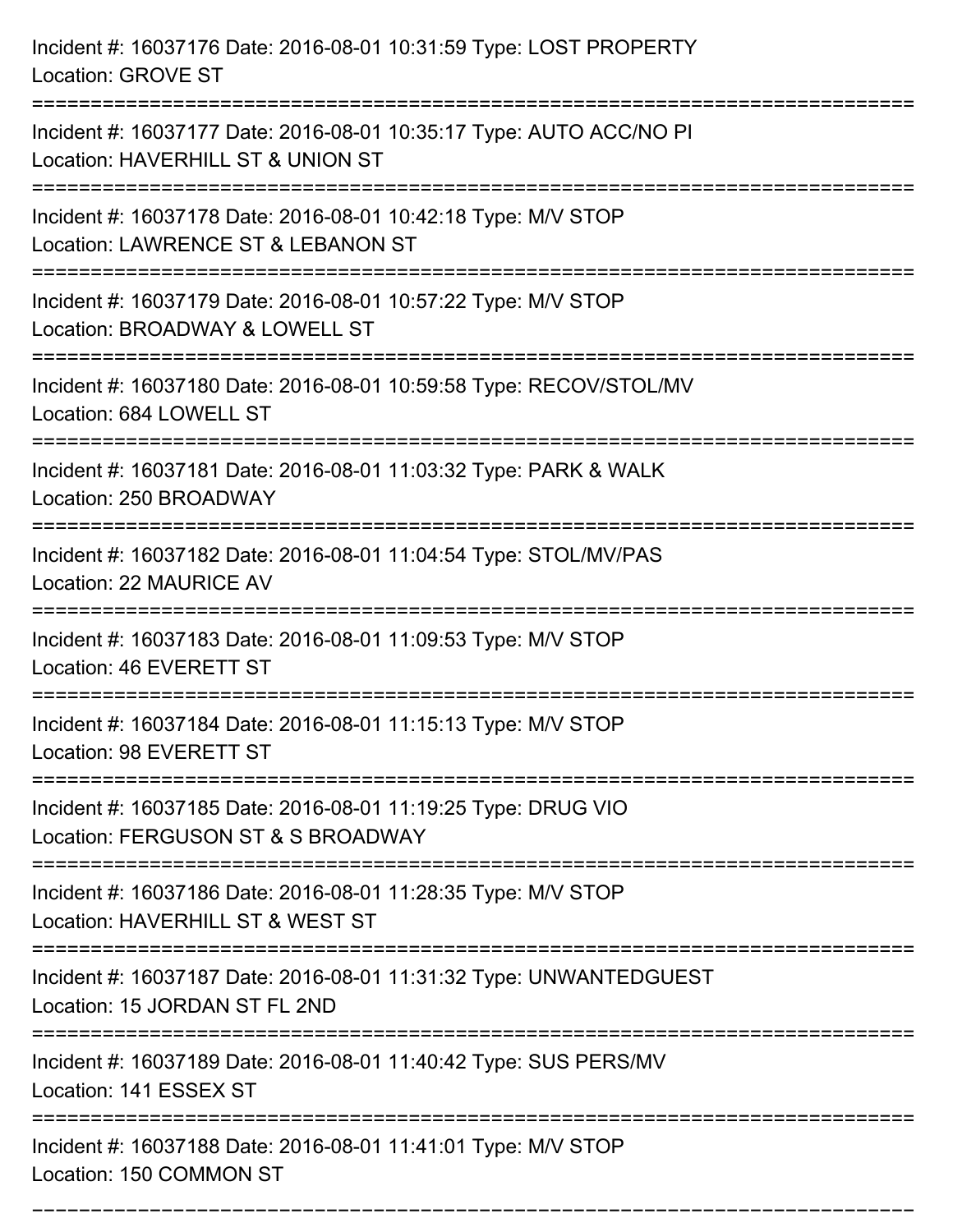Incident #: 16037176 Date: 2016-08-01 10:31:59 Type: LOST PROPERTY Location: GROVE ST =========================================================================== Incident #: 16037177 Date: 2016-08-01 10:35:17 Type: AUTO ACC/NO PI Location: HAVERHILL ST & UNION ST =========================================================================== Incident #: 16037178 Date: 2016-08-01 10:42:18 Type: M/V STOP Location: LAWRENCE ST & LEBANON ST =========================================================================== Incident #: 16037179 Date: 2016-08-01 10:57:22 Type: M/V STOP Location: BROADWAY & LOWELL ST =========================================================================== Incident #: 16037180 Date: 2016-08-01 10:59:58 Type: RECOV/STOL/MV Location: 684 LOWELL ST =========================================================================== Incident #: 16037181 Date: 2016-08-01 11:03:32 Type: PARK & WALK Location: 250 BROADWAY =========================================================================== Incident #: 16037182 Date: 2016-08-01 11:04:54 Type: STOL/MV/PAS Location: 22 MAURICE AV =========================================================================== Incident #: 16037183 Date: 2016-08-01 11:09:53 Type: M/V STOP Location: 46 EVERETT ST =========================================================================== Incident #: 16037184 Date: 2016-08-01 11:15:13 Type: M/V STOP Location: 98 EVERETT ST =========================================================================== Incident #: 16037185 Date: 2016-08-01 11:19:25 Type: DRUG VIO Location: FERGUSON ST & S BROADWAY =========================================================================== Incident #: 16037186 Date: 2016-08-01 11:28:35 Type: M/V STOP Location: HAVERHILL ST & WEST ST =========================================================================== Incident #: 16037187 Date: 2016-08-01 11:31:32 Type: UNWANTEDGUEST Location: 15 JORDAN ST FL 2ND =========================================================================== Incident #: 16037189 Date: 2016-08-01 11:40:42 Type: SUS PERS/MV Location: 141 ESSEX ST =========================================================================== Incident #: 16037188 Date: 2016-08-01 11:41:01 Type: M/V STOP Location: 150 COMMON ST

===========================================================================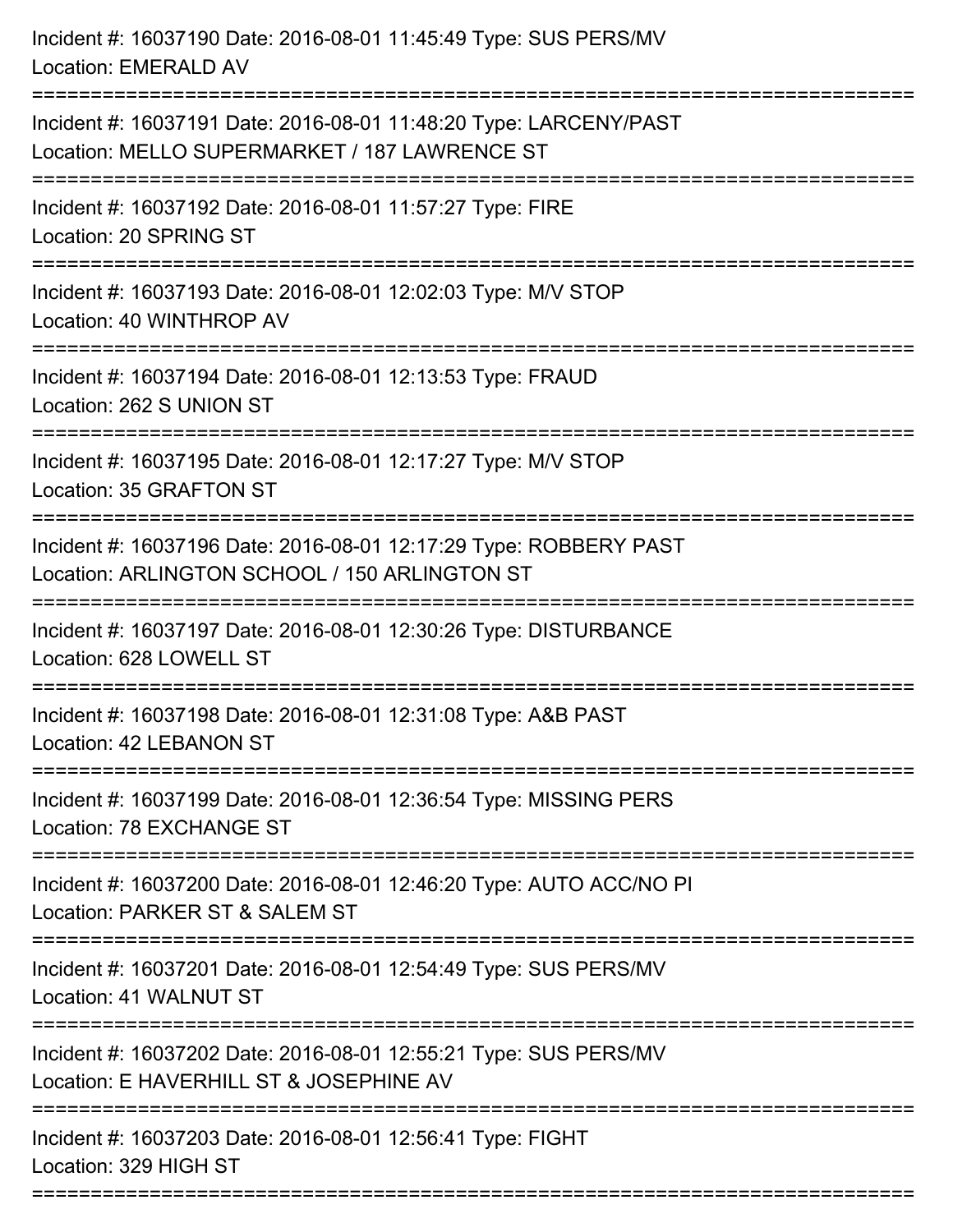| Incident #: 16037190 Date: 2016-08-01 11:45:49 Type: SUS PERS/MV<br>Location: EMERALD AV                                                                                        |
|---------------------------------------------------------------------------------------------------------------------------------------------------------------------------------|
| Incident #: 16037191 Date: 2016-08-01 11:48:20 Type: LARCENY/PAST<br>Location: MELLO SUPERMARKET / 187 LAWRENCE ST                                                              |
| Incident #: 16037192 Date: 2016-08-01 11:57:27 Type: FIRE<br>Location: 20 SPRING ST<br>:======================                                                                  |
| Incident #: 16037193 Date: 2016-08-01 12:02:03 Type: M/V STOP<br>Location: 40 WINTHROP AV                                                                                       |
| Incident #: 16037194 Date: 2016-08-01 12:13:53 Type: FRAUD<br>Location: 262 S UNION ST                                                                                          |
| Incident #: 16037195 Date: 2016-08-01 12:17:27 Type: M/V STOP<br>Location: 35 GRAFTON ST                                                                                        |
| Incident #: 16037196 Date: 2016-08-01 12:17:29 Type: ROBBERY PAST<br>Location: ARLINGTON SCHOOL / 150 ARLINGTON ST<br>:===============================<br>--------------------- |
| Incident #: 16037197 Date: 2016-08-01 12:30:26 Type: DISTURBANCE<br>Location: 628 LOWELL ST                                                                                     |
| Incident #: 16037198 Date: 2016-08-01 12:31:08 Type: A&B PAST<br>Location: 42 LEBANON ST                                                                                        |
| Incident #: 16037199 Date: 2016-08-01 12:36:54 Type: MISSING PERS<br>Location: 78 EXCHANGE ST                                                                                   |
| Incident #: 16037200 Date: 2016-08-01 12:46:20 Type: AUTO ACC/NO PI<br>Location: PARKER ST & SALEM ST                                                                           |
| Incident #: 16037201 Date: 2016-08-01 12:54:49 Type: SUS PERS/MV<br>Location: 41 WALNUT ST                                                                                      |
| Incident #: 16037202 Date: 2016-08-01 12:55:21 Type: SUS PERS/MV<br>Location: E HAVERHILL ST & JOSEPHINE AV                                                                     |
| Incident #: 16037203 Date: 2016-08-01 12:56:41 Type: FIGHT<br>Location: 329 HIGH ST                                                                                             |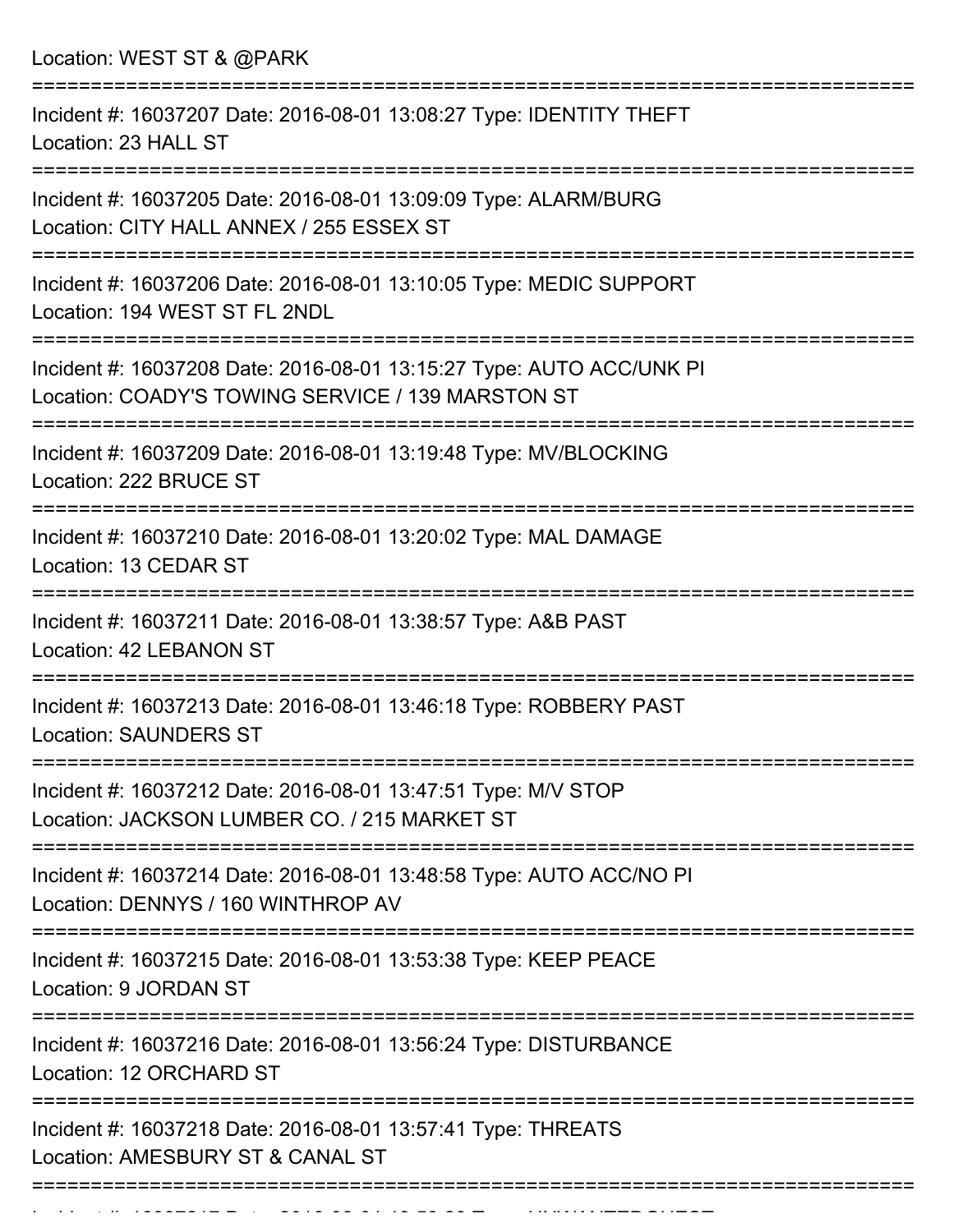Location: WEST ST & @PARK

| Incident #: 16037207 Date: 2016-08-01 13:08:27 Type: IDENTITY THEFT<br>Location: 23 HALL ST                               |
|---------------------------------------------------------------------------------------------------------------------------|
| Incident #: 16037205 Date: 2016-08-01 13:09:09 Type: ALARM/BURG<br>Location: CITY HALL ANNEX / 255 ESSEX ST               |
| Incident #: 16037206 Date: 2016-08-01 13:10:05 Type: MEDIC SUPPORT<br>Location: 194 WEST ST FL 2NDL                       |
| Incident #: 16037208 Date: 2016-08-01 13:15:27 Type: AUTO ACC/UNK PI<br>Location: COADY'S TOWING SERVICE / 139 MARSTON ST |
| Incident #: 16037209 Date: 2016-08-01 13:19:48 Type: MV/BLOCKING<br>Location: 222 BRUCE ST                                |
| Incident #: 16037210 Date: 2016-08-01 13:20:02 Type: MAL DAMAGE<br>Location: 13 CEDAR ST                                  |
| Incident #: 16037211 Date: 2016-08-01 13:38:57 Type: A&B PAST<br>Location: 42 LEBANON ST                                  |
| Incident #: 16037213 Date: 2016-08-01 13:46:18 Type: ROBBERY PAST<br><b>Location: SAUNDERS ST</b>                         |
| Incident #: 16037212 Date: 2016-08-01 13:47:51 Type: M/V STOP<br>Location: JACKSON LUMBER CO. / 215 MARKET ST             |
| Incident #: 16037214 Date: 2016-08-01 13:48:58 Type: AUTO ACC/NO PI<br>Location: DENNYS / 160 WINTHROP AV                 |
| Incident #: 16037215 Date: 2016-08-01 13:53:38 Type: KEEP PEACE<br>Location: 9 JORDAN ST                                  |
| Incident #: 16037216 Date: 2016-08-01 13:56:24 Type: DISTURBANCE<br>Location: 12 ORCHARD ST                               |
| Incident #: 16037218 Date: 2016-08-01 13:57:41 Type: THREATS<br>Location: AMESBURY ST & CANAL ST                          |
|                                                                                                                           |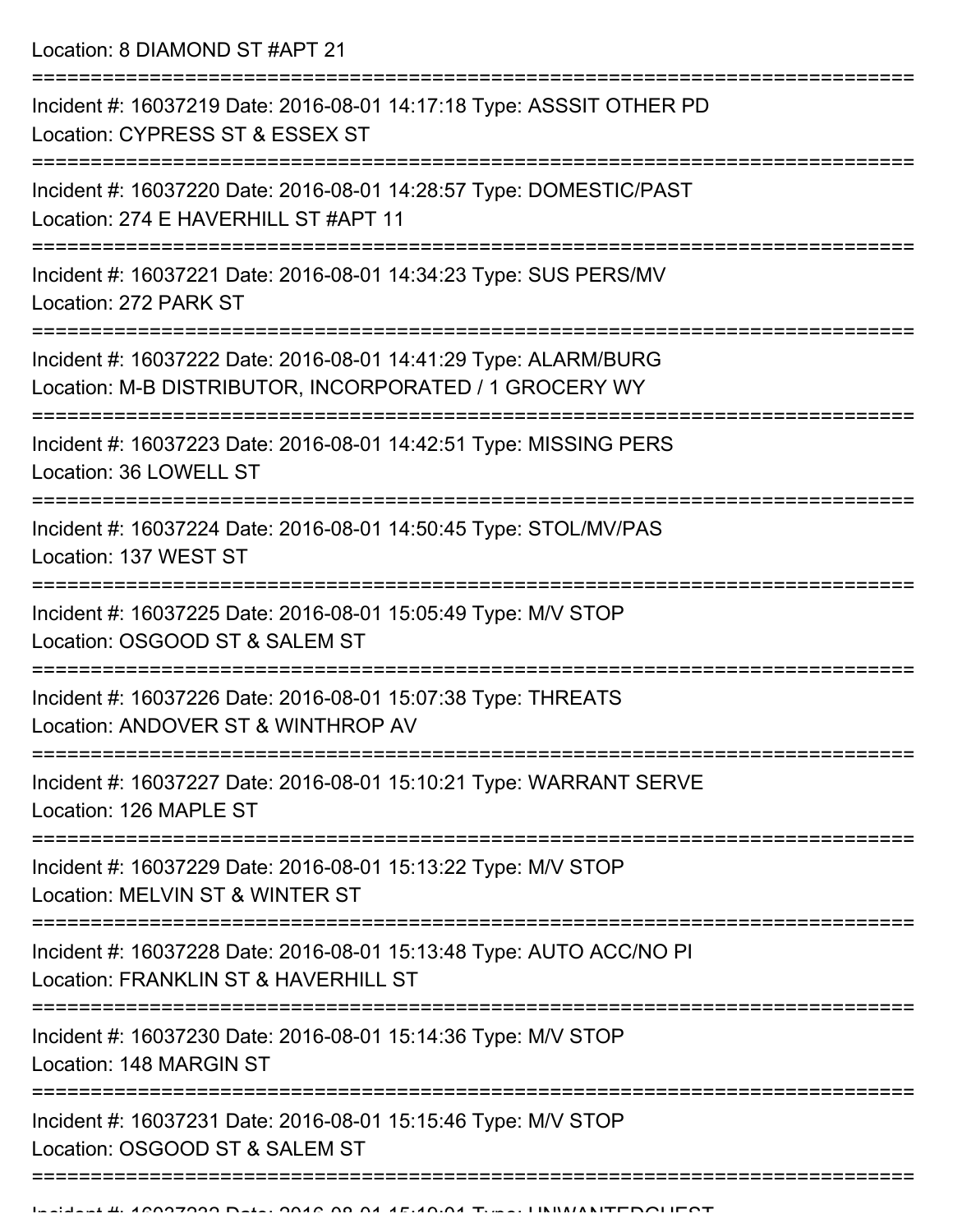Location: 8 DIAMOND ST #APT 21

| Incident #: 16037219 Date: 2016-08-01 14:17:18 Type: ASSSIT OTHER PD<br>Location: CYPRESS ST & ESSEX ST                   |
|---------------------------------------------------------------------------------------------------------------------------|
| Incident #: 16037220 Date: 2016-08-01 14:28:57 Type: DOMESTIC/PAST<br>Location: 274 E HAVERHILL ST #APT 11                |
| Incident #: 16037221 Date: 2016-08-01 14:34:23 Type: SUS PERS/MV<br>Location: 272 PARK ST                                 |
| Incident #: 16037222 Date: 2016-08-01 14:41:29 Type: ALARM/BURG<br>Location: M-B DISTRIBUTOR, INCORPORATED / 1 GROCERY WY |
| Incident #: 16037223 Date: 2016-08-01 14:42:51 Type: MISSING PERS<br>Location: 36 LOWELL ST                               |
| Incident #: 16037224 Date: 2016-08-01 14:50:45 Type: STOL/MV/PAS<br>Location: 137 WEST ST                                 |
| Incident #: 16037225 Date: 2016-08-01 15:05:49 Type: M/V STOP<br>Location: OSGOOD ST & SALEM ST                           |
| Incident #: 16037226 Date: 2016-08-01 15:07:38 Type: THREATS<br>Location: ANDOVER ST & WINTHROP AV                        |
| Incident #: 16037227 Date: 2016-08-01 15:10:21 Type: WARRANT SERVE<br>Location: 126 MAPLE ST                              |
| Incident #: 16037229 Date: 2016-08-01 15:13:22 Type: M/V STOP<br>Location: MELVIN ST & WINTER ST                          |
| Incident #: 16037228 Date: 2016-08-01 15:13:48 Type: AUTO ACC/NO PI<br>Location: FRANKLIN ST & HAVERHILL ST               |
| Incident #: 16037230 Date: 2016-08-01 15:14:36 Type: M/V STOP<br>Location: 148 MARGIN ST                                  |
| Incident #: 16037231 Date: 2016-08-01 15:15:46 Type: M/V STOP<br>Location: OSGOOD ST & SALEM ST                           |
|                                                                                                                           |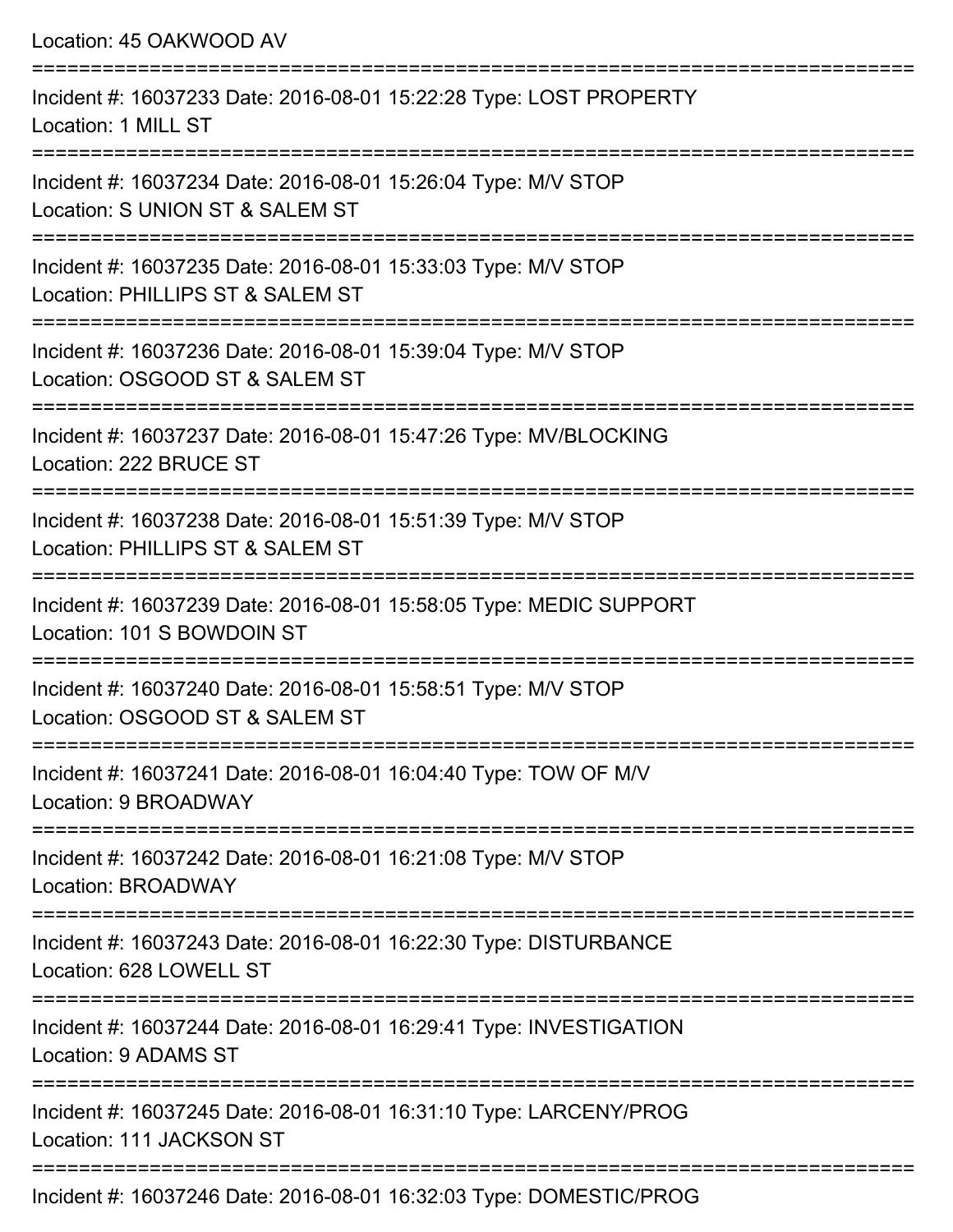| Location: 45 OAKWOOD AV                                                                                                         |
|---------------------------------------------------------------------------------------------------------------------------------|
| Incident #: 16037233 Date: 2016-08-01 15:22:28 Type: LOST PROPERTY<br>Location: 1 MILL ST<br>================================== |
| Incident #: 16037234 Date: 2016-08-01 15:26:04 Type: M/V STOP<br>Location: S UNION ST & SALEM ST<br>:====================       |
| Incident #: 16037235 Date: 2016-08-01 15:33:03 Type: M/V STOP<br>Location: PHILLIPS ST & SALEM ST                               |
| Incident #: 16037236 Date: 2016-08-01 15:39:04 Type: M/V STOP<br>Location: OSGOOD ST & SALEM ST                                 |
| :=====================<br>Incident #: 16037237 Date: 2016-08-01 15:47:26 Type: MV/BLOCKING<br>Location: 222 BRUCE ST            |
| Incident #: 16037238 Date: 2016-08-01 15:51:39 Type: M/V STOP<br>Location: PHILLIPS ST & SALEM ST                               |
| =====================<br>Incident #: 16037239 Date: 2016-08-01 15:58:05 Type: MEDIC SUPPORT<br>Location: 101 S BOWDOIN ST       |
| Incident #: 16037240 Date: 2016-08-01 15:58:51 Type: M/V STOP<br>Location: OSGOOD ST & SALEM ST                                 |
| Incident #: 16037241 Date: 2016-08-01 16:04:40 Type: TOW OF M/V<br>Location: 9 BROADWAY                                         |
| Incident #: 16037242 Date: 2016-08-01 16:21:08 Type: M/V STOP<br>Location: BROADWAY                                             |
| Incident #: 16037243 Date: 2016-08-01 16:22:30 Type: DISTURBANCE<br>Location: 628 LOWELL ST                                     |
| Incident #: 16037244 Date: 2016-08-01 16:29:41 Type: INVESTIGATION<br>Location: 9 ADAMS ST                                      |
| Incident #: 16037245 Date: 2016-08-01 16:31:10 Type: LARCENY/PROG<br>Location: 111 JACKSON ST                                   |
|                                                                                                                                 |

Incident #: 16037246 Date: 2016-08-01 16:32:03 Type: DOMESTIC/PROG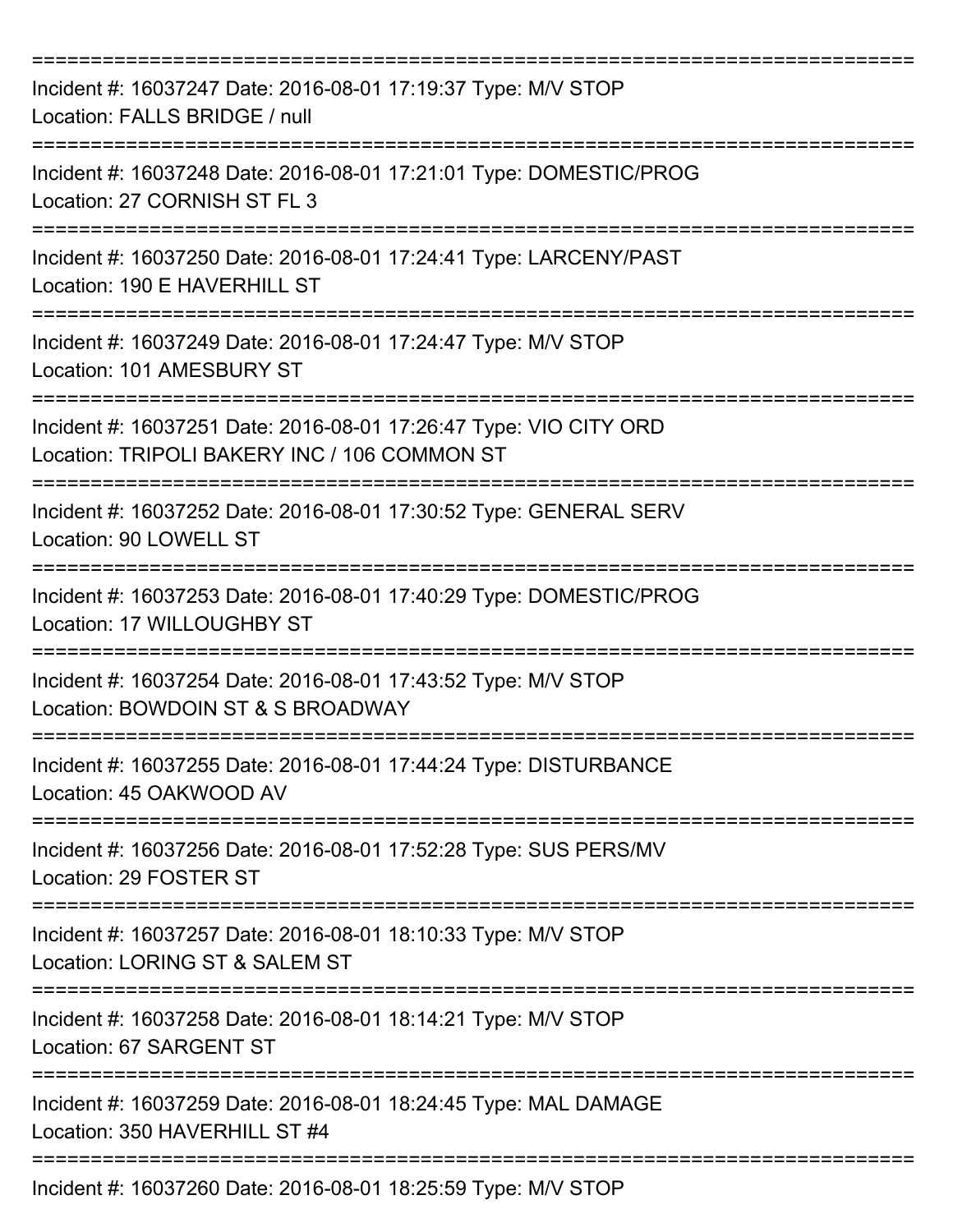| Incident #: 16037247 Date: 2016-08-01 17:19:37 Type: M/V STOP<br>Location: FALLS BRIDGE / null                              |
|-----------------------------------------------------------------------------------------------------------------------------|
| Incident #: 16037248 Date: 2016-08-01 17:21:01 Type: DOMESTIC/PROG<br>Location: 27 CORNISH ST FL 3                          |
| Incident #: 16037250 Date: 2016-08-01 17:24:41 Type: LARCENY/PAST<br>Location: 190 E HAVERHILL ST<br>====================== |
| Incident #: 16037249 Date: 2016-08-01 17:24:47 Type: M/V STOP<br>Location: 101 AMESBURY ST                                  |
| Incident #: 16037251 Date: 2016-08-01 17:26:47 Type: VIO CITY ORD<br>Location: TRIPOLI BAKERY INC / 106 COMMON ST           |
| Incident #: 16037252 Date: 2016-08-01 17:30:52 Type: GENERAL SERV<br>Location: 90 LOWELL ST                                 |
| Incident #: 16037253 Date: 2016-08-01 17:40:29 Type: DOMESTIC/PROG<br>Location: 17 WILLOUGHBY ST                            |
| Incident #: 16037254 Date: 2016-08-01 17:43:52 Type: M/V STOP<br>Location: BOWDOIN ST & S BROADWAY                          |
| Incident #: 16037255 Date: 2016-08-01 17:44:24 Type: DISTURBANCE<br>Location: 45 OAKWOOD AV                                 |
| Incident #: 16037256 Date: 2016-08-01 17:52:28 Type: SUS PERS/MV<br>Location: 29 FOSTER ST                                  |
| Incident #: 16037257 Date: 2016-08-01 18:10:33 Type: M/V STOP<br>Location: LORING ST & SALEM ST                             |
| Incident #: 16037258 Date: 2016-08-01 18:14:21 Type: M/V STOP<br>Location: 67 SARGENT ST                                    |
| Incident #: 16037259 Date: 2016-08-01 18:24:45 Type: MAL DAMAGE<br>Location: 350 HAVERHILL ST #4                            |
| Incident #: 16037260 Date: 2016-08-01 18:25:59 Type: M/V STOP                                                               |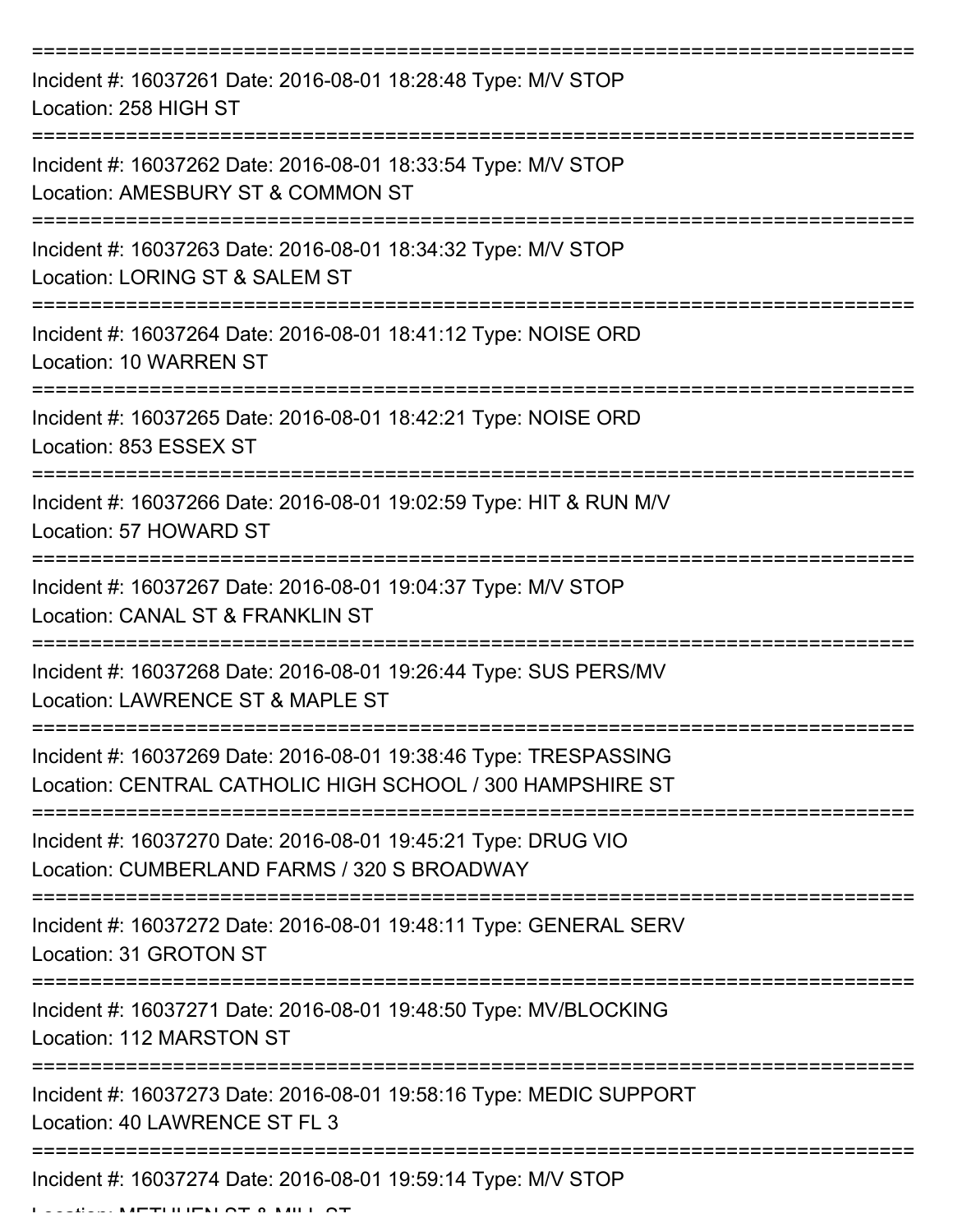| Incident #: 16037261 Date: 2016-08-01 18:28:48 Type: M/V STOP<br>Location: 258 HIGH ST                                        |
|-------------------------------------------------------------------------------------------------------------------------------|
| Incident #: 16037262 Date: 2016-08-01 18:33:54 Type: M/V STOP<br>Location: AMESBURY ST & COMMON ST                            |
| Incident #: 16037263 Date: 2016-08-01 18:34:32 Type: M/V STOP<br>Location: LORING ST & SALEM ST                               |
| Incident #: 16037264 Date: 2016-08-01 18:41:12 Type: NOISE ORD<br>Location: 10 WARREN ST                                      |
| Incident #: 16037265 Date: 2016-08-01 18:42:21 Type: NOISE ORD<br>Location: 853 ESSEX ST                                      |
| Incident #: 16037266 Date: 2016-08-01 19:02:59 Type: HIT & RUN M/V<br>Location: 57 HOWARD ST<br>======================        |
| Incident #: 16037267 Date: 2016-08-01 19:04:37 Type: M/V STOP<br>Location: CANAL ST & FRANKLIN ST                             |
| Incident #: 16037268 Date: 2016-08-01 19:26:44 Type: SUS PERS/MV<br>Location: LAWRENCE ST & MAPLE ST                          |
| Incident #: 16037269 Date: 2016-08-01 19:38:46 Type: TRESPASSING<br>Location: CENTRAL CATHOLIC HIGH SCHOOL / 300 HAMPSHIRE ST |
| Incident #: 16037270 Date: 2016-08-01 19:45:21 Type: DRUG VIO<br>Location: CUMBERLAND FARMS / 320 S BROADWAY                  |
| Incident #: 16037272 Date: 2016-08-01 19:48:11 Type: GENERAL SERV<br>Location: 31 GROTON ST                                   |
| Incident #: 16037271 Date: 2016-08-01 19:48:50 Type: MV/BLOCKING<br>Location: 112 MARSTON ST                                  |
| Incident #: 16037273 Date: 2016-08-01 19:58:16 Type: MEDIC SUPPORT<br>Location: 40 LAWRENCE ST FL 3                           |
| Incident #: 16037274 Date: 2016-08-01 19:59:14 Type: M/V STOP                                                                 |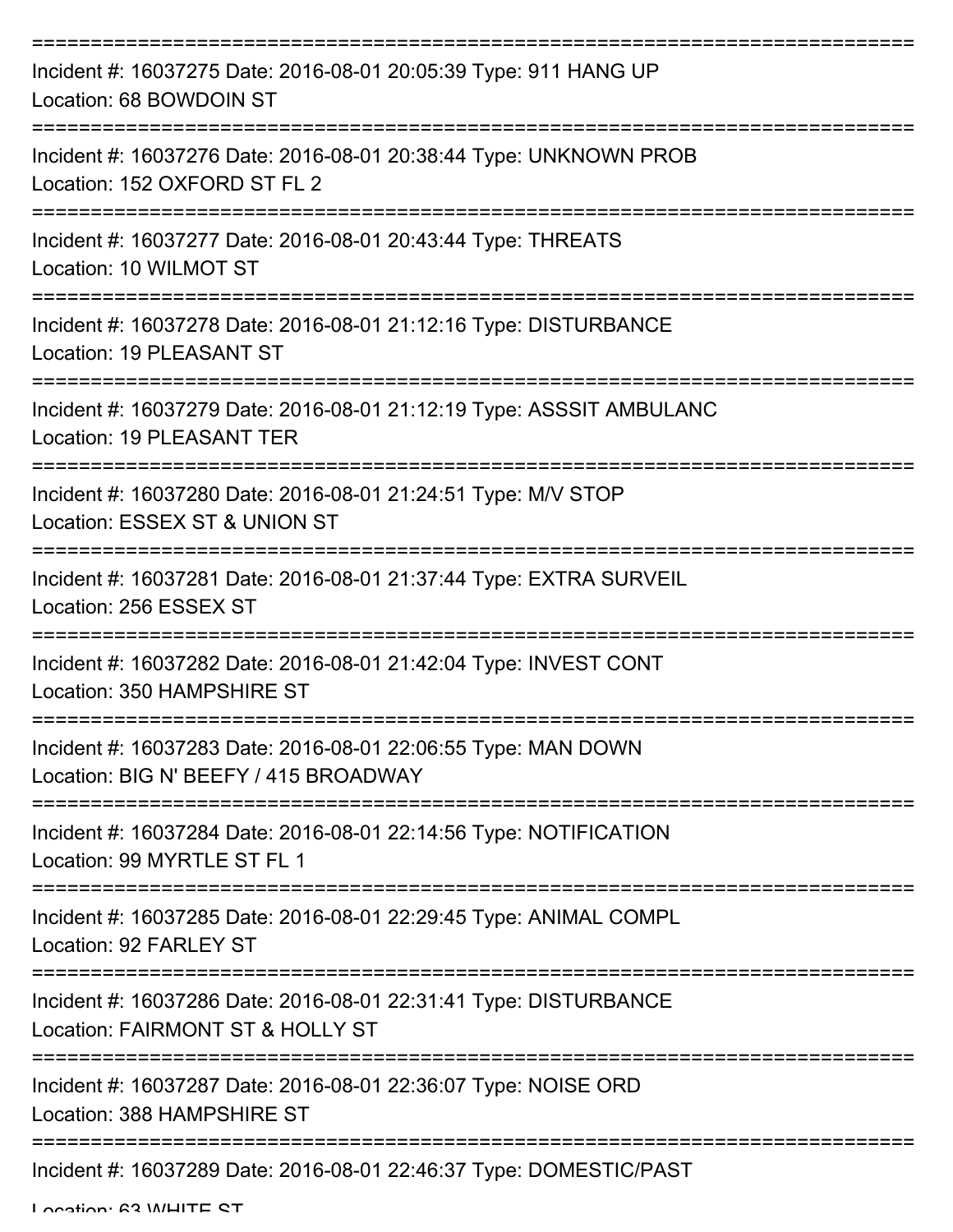| Incident #: 16037275 Date: 2016-08-01 20:05:39 Type: 911 HANG UP<br>Location: 68 BOWDOIN ST                         |
|---------------------------------------------------------------------------------------------------------------------|
| Incident #: 16037276 Date: 2016-08-01 20:38:44 Type: UNKNOWN PROB<br>Location: 152 OXFORD ST FL 2                   |
| Incident #: 16037277 Date: 2016-08-01 20:43:44 Type: THREATS<br>Location: 10 WILMOT ST                              |
| Incident #: 16037278 Date: 2016-08-01 21:12:16 Type: DISTURBANCE<br>Location: 19 PLEASANT ST<br>------------------- |
| Incident #: 16037279 Date: 2016-08-01 21:12:19 Type: ASSSIT AMBULANC<br><b>Location: 19 PLEASANT TER</b>            |
| Incident #: 16037280 Date: 2016-08-01 21:24:51 Type: M/V STOP<br>Location: ESSEX ST & UNION ST                      |
| Incident #: 16037281 Date: 2016-08-01 21:37:44 Type: EXTRA SURVEIL<br>Location: 256 ESSEX ST                        |
| Incident #: 16037282 Date: 2016-08-01 21:42:04 Type: INVEST CONT<br>Location: 350 HAMPSHIRE ST                      |
| Incident #: 16037283 Date: 2016-08-01 22:06:55 Type: MAN DOWN<br>Location: BIG N' BEEFY / 415 BROADWAY              |
| Incident #: 16037284 Date: 2016-08-01 22:14:56 Type: NOTIFICATION<br>Location: 99 MYRTLE ST FL 1                    |
| Incident #: 16037285 Date: 2016-08-01 22:29:45 Type: ANIMAL COMPL<br>Location: 92 FARLEY ST                         |
| Incident #: 16037286 Date: 2016-08-01 22:31:41 Type: DISTURBANCE<br>Location: FAIRMONT ST & HOLLY ST                |
| Incident #: 16037287 Date: 2016-08-01 22:36:07 Type: NOISE ORD<br>Location: 388 HAMPSHIRE ST                        |
| Incident #: 16037289 Date: 2016-08-01 22:46:37 Type: DOMESTIC/PAST                                                  |